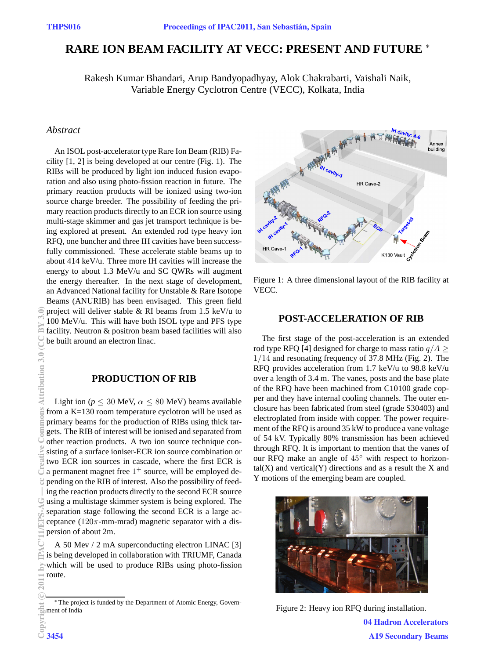# **RARE ION BEAM FACILITY AT VECC: PRESENT AND FUTURE** <sup>∗</sup>

Rakesh Kumar Bhandari, Arup Bandyopadhyay, Alok Chakrabarti, Vaishali Naik, Variable Energy Cyclotron Centre (VECC), Kolkata, India

## *Abstract*

An ISOL post-accelerator type Rare Ion Beam (RIB) Facility [1, 2] is being developed at our centre (Fig. 1). The RIBs will be produced by light ion induced fusion evaporation and also using photo-fission reaction in future. The primary reaction products will be ionized using two-ion source charge breeder. The possibility of feeding the primary reaction products directly to an ECR ion source using multi-stage skimmer and gas jet transport technique is being explored at present. An extended rod type heavy ion RFQ, one buncher and three IH cavities have been successfully commissioned. These accelerate stable beams up to about 414 keV/u. Three more IH cavities will increase the energy to about 1.3 MeV/u and SC QWRs will augment the energy thereafter. In the next stage of development, an Advanced National facility for Unstable & Rare Isotope Beams (ANURIB) has been envisaged. This green field project will deliver stable & RI beams from 1.5 keV/u to 100 MeV/u. This will have both ISOL type and PFS type facility. Neutron & positron beam based facilities will also be built around an electron linac.

## **PRODUCTION OF RIB**

Light ion ( $p \le 30$  MeV,  $\alpha \le 80$  MeV) beams available from a K=130 room temperature cyclotron will be used as primary beams for the production of RIBs using thick targets. The RIB of interest will be ionised and separated from other reaction products. A two ion source technique consisting of a surface ioniser-ECR ion source combination or two ECR ion sources in cascade, where the first ECR is a permanent magnet free  $1^+$  source, will be employed depending on the RIB of interest. Also the possibility of feeding the reaction products directly to the second ECR source using a multistage skimmer system is being explored. The separation stage following the second ECR is a large acceptance ( $120\pi$ -mm-mrad) magnetic separator with a dispersion of about 2m.

A 50 Mev / 2 mA superconducting electron LINAC [3] is being developed in collaboration with TRIUMF, Canada which will be used to produce RIBs using photo-fission route.



Figure 1: A three dimensional layout of the RIB facility at VECC.

## **POST-ACCELERATION OF RIB**

The first stage of the post-acceleration is an extended rod type RFQ [4] designed for charge to mass ratio  $q/A \ge$ 1/14 and resonating frequency of 37.8 MHz (Fig. 2). The RFQ provides acceleration from 1.7 keV/u to 98.8 keV/u over a length of 3.4 m. The vanes, posts and the base plate of the RFQ have been machined from C10100 grade copper and they have internal cooling channels. The outer enclosure has been fabricated from steel (grade S30403) and electroplated from inside with copper. The power requirement of the RFQ is around 35 kW to produce a vane voltage of 54 kV. Typically 80% transmission has been achieved through RFQ. It is important to mention that the vanes of our RFQ make an angle of 45◦ with respect to horizon $tal(X)$  and vertical $(Y)$  directions and as a result the X and Y motions of the emerging beam are coupled.



Figure 2: Heavy ion RFQ during installation.

04 Hadron Accelerators A19 Secondary Beams

<sup>∗</sup> The project is funded by the Department of Atomic Energy, Government of India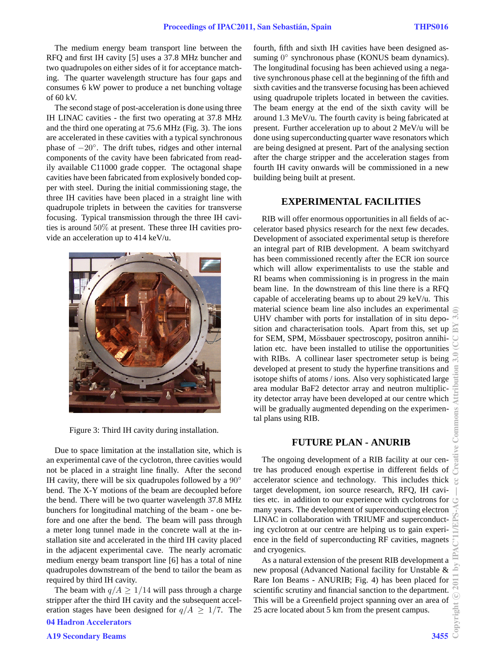The medium energy beam transport line between the RFQ and first IH cavity [5] uses a 37.8 MHz buncher and two quadrupoles on either sides of it for acceptance matching. The quarter wavelength structure has four gaps and consumes 6 kW power to produce a net bunching voltage of 60 kV.

The second stage of post-acceleration is done using three IH LINAC cavities - the first two operating at 37.8 MHz and the third one operating at 75.6 MHz (Fig. 3). The ions are accelerated in these cavities with a typical synchronous phase of  $-20^\circ$ . The drift tubes, ridges and other internal components of the cavity have been fabricated from readily available C11000 grade copper. The octagonal shape cavities have been fabricated from explosively bonded copper with steel. During the initial commissioning stage, the three IH cavities have been placed in a straight line with quadrupole triplets in between the cavities for transverse focusing. Typical transmission through the three IH cavities is around 50% at present. These three IH cavities provide an acceleration up to 414 keV/u.



Figure 3: Third IH cavity during installation.

Due to space limitation at the installation site, which is an experimental cave of the cyclotron, three cavities would not be placed in a straight line finally. After the second IH cavity, there will be six quadrupoles followed by a  $90^\circ$ bend. The X-Y motions of the beam are decoupled before the bend. There will be two quarter wavelength 37.8 MHz bunchers for longitudinal matching of the beam - one before and one after the bend. The beam will pass through a meter long tunnel made in the concrete wall at the installation site and accelerated in the third IH cavity placed in the adjacent experimental cave. The nearly acromatic medium energy beam transport line [6] has a total of nine quadrupoles downstream of the bend to tailor the beam as required by third IH cavity.

The beam with  $q/A \ge 1/14$  will pass through a charge stripper after the third IH cavity and the subsequent acceleration stages have been designed for  $q/A \geq 1/7$ . The fourth, fifth and sixth IH cavities have been designed assuming 0° synchronous phase (KONUS beam dynamics). The longitudinal focusing has been achieved using a negative synchronous phase cell at the beginning of the fifth and sixth cavities and the transverse focusing has been achieved using quadrupole triplets located in between the cavities. The beam energy at the end of the sixth cavity will be around 1.3 MeV/u. The fourth cavity is being fabricated at present. Further acceleration up to about 2 MeV/u will be done using superconducting quarter wave resonators which are being designed at present. Part of the analysing section after the charge stripper and the acceleration stages from fourth IH cavity onwards will be commissioned in a new building being built at present.

#### **EXPERIMENTAL FACILITIES**

RIB will offer enormous opportunities in all fields of accelerator based physics research for the next few decades. Development of associated experimental setup is therefore an integral part of RIB development. A beam switchyard has been commissioned recently after the ECR ion source which will allow experimentalists to use the stable and RI beams when commissioning is in progress in the main beam line. In the downstream of this line there is a RFQ capable of accelerating beams up to about 29 keV/u. This material science beam line also includes an experimental UHV chamber with ports for installation of in situ deposition and characterisation tools. Apart from this, set up for SEM, SPM, Mössbauer spectroscopy, positron annihilation etc. have been installed to utilise the opportunities with RIBs. A collinear laser spectrometer setup is being developed at present to study the hyperfine transitions and isotope shifts of atoms / ions. Also very sophisticated large area modular BaF2 detector array and neutron multiplicity detector array have been developed at our centre which will be gradually augmented depending on the experimental plans using RIB.

#### **FUTURE PLAN - ANURIB**

The ongoing development of a RIB facility at our centre has produced enough expertise in different fields of accelerator science and technology. This includes thick target development, ion source research, RFQ, IH cavities etc. in addition to our experience with cyclotrons for many years. The development of superconducting electron LINAC in collaboration with TRIUMF and superconducting cyclotron at our centre are helping us to gain experience in the field of superconducting RF cavities, magnets and cryogenics.

As a natural extension of the present RIB development a new proposal (Advanced National facility for Unstable & Rare Ion Beams - ANURIB; Fig. 4) has been placed for scientific scrutiny and financial sanction to the department. This will be a Greenfield project spanning over an area of 25 acre located about 5 km from the present campus.